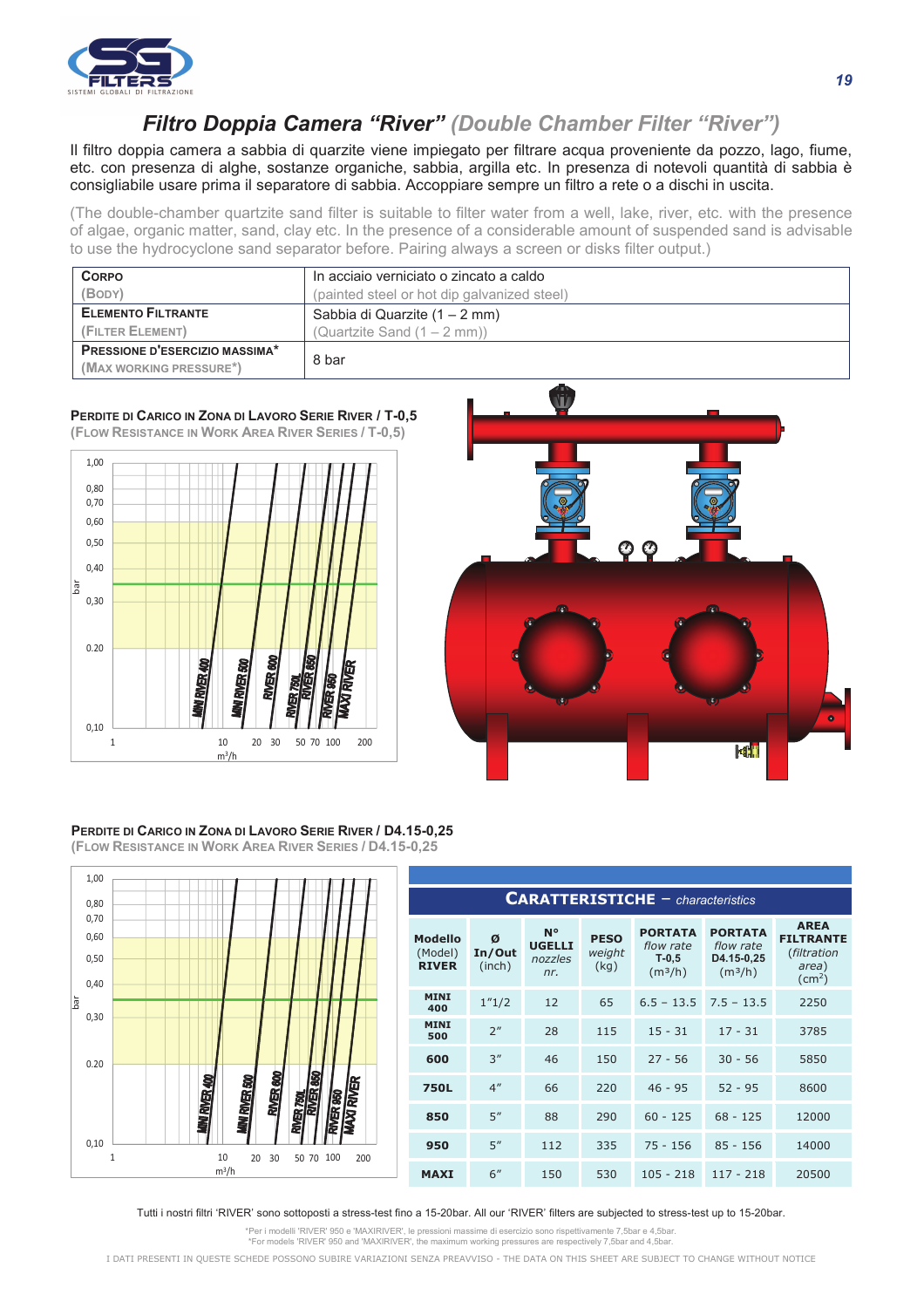

## **Filtro Doppia Camera "River"** (Double Chamber Filter "River")

Il filtro doppia camera a sabbia di quarzite viene impiegato per filtrare acqua proveniente da pozzo, lago, fiume, etc. con presenza di alghe, sostanze organiche, sabbia, argilla etc. In presenza di notevoli quantità di sabbia è consigliabile usare prima il separatore di sabbia. Accoppiare sempre un filtro a rete o a dischi in uscita.

(The double-chamber quartzite sand filter is suitable to filter water from a well, lake, river, etc. with the presence of algae, organic matter, sand, clay etc. In the presence of a considerable amount of suspended sand is advisable to use the hydrocyclone sand separator before. Pairing always a screen or disks filter output.)

| <b>CORPO</b>                   | In acciaio verniciato o zincato a caldo     |  |  |  |  |
|--------------------------------|---------------------------------------------|--|--|--|--|
| (BODY)                         | (painted steel or hot dip galvanized steel) |  |  |  |  |
| <b>ELEMENTO FILTRANTE</b>      | Sabbia di Quarzite (1 – 2 mm)               |  |  |  |  |
| (FILTER ELEMENT)               | (Quartzite Sand $(1 - 2$ mm))               |  |  |  |  |
| PRESSIONE D'ESERCIZIO MASSIMA* | 8 bar                                       |  |  |  |  |
| (MAX WORKING PRESSURE*)        |                                             |  |  |  |  |

## **PERDITE DI CARICO IN ZONA DI LAVORO SERIE RIVER / T-0,5 (FLOW RESISTANCE IN WORK AREA RIVER SERIES / T-0,5)**





## **PERDITE DI CARICO IN ZONA DI LAVORO SERIE RIVER / D4.15-0,25 (FLOW RESISTANCE IN WORK AREA RIVER SERIES / D4.15-0,25**



| <b>CARATTERISTICHE</b> - characteristics  |                       |                                       |                               |                                                               |                                                                  |                                                                            |  |  |
|-------------------------------------------|-----------------------|---------------------------------------|-------------------------------|---------------------------------------------------------------|------------------------------------------------------------------|----------------------------------------------------------------------------|--|--|
| <b>Modello</b><br>(Model)<br><b>RIVER</b> | Ø<br>In/Out<br>(inch) | N°<br><b>UGELLI</b><br>nozzles<br>nr. | <b>PESO</b><br>weight<br>(kg) | <b>PORTATA</b><br>flow rate<br>$T-0,5$<br>(m <sup>3</sup> /h) | <b>PORTATA</b><br>flow rate<br>D4.15-0,25<br>(m <sup>3</sup> /h) | <b>AREA</b><br><b>FILTRANTE</b><br>(filtration<br>area)<br>$\text{(cm}^2)$ |  |  |
| <b>MINI</b><br>400                        | 1''1/2                | 12                                    | 65                            | $6.5 - 13.5$                                                  | $7.5 - 13.5$                                                     | 2250                                                                       |  |  |
| <b>MINI</b><br>500                        | 2 <sup>n</sup>        | 28                                    | 115                           | $15 - 31$                                                     | $17 - 31$                                                        | 3785                                                                       |  |  |
| 600                                       | 3''                   | 46                                    | 150                           | $27 - 56$                                                     | $30 - 56$                                                        | 5850                                                                       |  |  |
| <b>750L</b>                               | 4 <sup>''</sup>       | 66                                    | 220                           | $46 - 95$                                                     | $52 - 95$                                                        | 8600                                                                       |  |  |
| 850                                       | 5''                   | 88                                    | 290                           | $60 - 125$                                                    | $68 - 125$                                                       | 12000                                                                      |  |  |
| 950                                       | 5''                   | 112                                   | 335                           | $75 - 156$                                                    | $85 - 156$                                                       | 14000                                                                      |  |  |
| <b>MAXI</b>                               | 6"                    | 150                                   | 530                           | $105 - 218$                                                   | $117 - 218$                                                      | 20500                                                                      |  |  |

Tutti i nostri filtri 'RIVER' sono sottoposti a stress-test fino a 15-20bar. All our 'RIVER' filters are subjected to stress-test up to 15-20bar.

\*Per i modelli 'RIVER' 950 e 'MAXIRIVER', le pressioni massime di esercizio sono rispettivamente 7,5bar e 4,5bar. \*For models 'RIVER' 950 and 'MAXIRIVER', the maximum working pressures are respectively 7,5bar and 4,5bar.

I DATI PRESENTI IN QUESTE SCHEDE POSSONO SUBIRE VARIAZIONI SENZA PREAVVISO - THE DATA ON THIS SHEET ARE SUBJECT TO CHANGE WITHOUT NOTICE